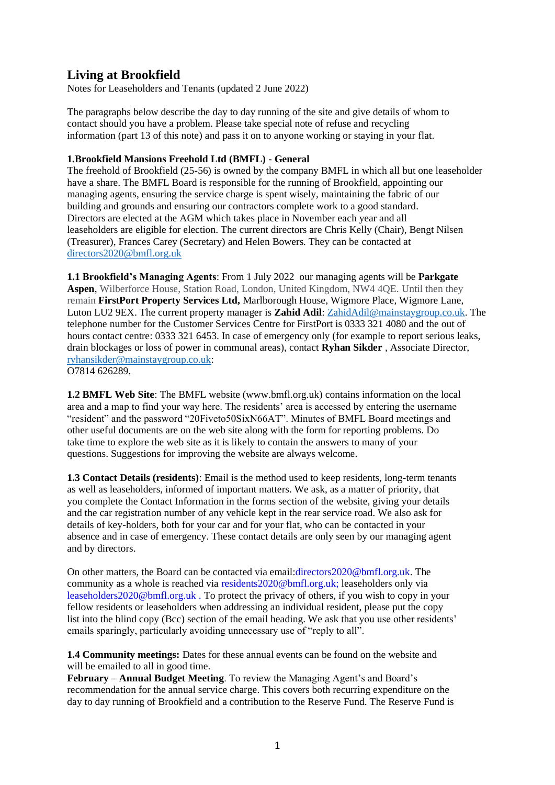# **Living at Brookfield**

Notes for Leaseholders and Tenants (updated 2 June 2022)

The paragraphs below describe the day to day running of the site and give details of whom to contact should you have a problem. Please take special note of refuse and recycling information (part 13 of this note) and pass it on to anyone working or staying in your flat.

## **1.Brookfield Mansions Freehold Ltd (BMFL) - General**

The freehold of Brookfield (25-56) is owned by the company BMFL in which all but one leaseholder have a share. The BMFL Board is responsible for the running of Brookfield, appointing our managing agents, ensuring the service charge is spent wisely, maintaining the fabric of our building and grounds and ensuring our contractors complete work to a good standard. Directors are elected at the AGM which takes place in November each year and all leaseholders are eligible for election. The current directors are Chris Kelly (Chair), Bengt Nilsen (Treasurer), Frances Carey (Secretary) and Helen Bowers. They can be contacted at [directors2020@bmfl.org.uk](mailto:directors2020@bmfl.org.uk)

**1.1 Brookfield's Managing Agents**: From 1 July 2022 our managing agents will be **Parkgate Aspen**, Wilberforce House, Station Road, London, United Kingdom, NW4 4QE. Until then they remain **FirstPort Property Services Ltd,** Marlborough House, Wigmore Place, Wigmore Lane, Luton LU2 9EX. The current property manager is **Zahid Adil**: [ZahidAdil@mainstaygroup.co.uk.](mailto:ZahidAdil@mainstaygroup.co.uk) The telephone number for the Customer Services Centre for FirstPort is 0333 321 4080 and the out of hours contact centre: 0333 321 6453. In case of emergency only (for example to report serious leaks, drain blockages or loss of power in communal areas), contact **Ryhan Sikder** , Associate Director, [ryhansikder@mainstaygroup.co.uk:](mailto:ryhansikder@mainstaygroup.co.uk) O7814 626289.

**1.2 BMFL Web Site**: The BMFL website (www.bmfl.org.uk) contains information on the local area and a map to find your way here. The residents' area is accessed by entering the username "resident" and the password "20Fiveto50SixN66AT". Minutes of BMFL Board meetings and other useful documents are on the web site along with the form for reporting problems. Do take time to explore the web site as it is likely to contain the answers to many of your questions. Suggestions for improving the website are always welcome.

**1.3 Contact Details (residents)**: Email is the method used to keep residents, long-term tenants as well as leaseholders, informed of important matters. We ask, as a matter of priority, that you complete the Contact Information in the forms section of the website, giving your details and the car registration number of any vehicle kept in the rear service road. We also ask for details of key-holders, both for your car and for your flat, who can be contacted in your absence and in case of emergency. These contact details are only seen by our managing agent and by directors.

On other matters, the Board can be contacted via email:directors2020@bmfl.org.uk. The community as a whole is reached via residents2020@bmfl.org.uk; leaseholders only via leaseholders2020@bmfl.org.uk . To protect the privacy of others, if you wish to copy in your fellow residents or leaseholders when addressing an individual resident, please put the copy list into the blind copy (Bcc) section of the email heading. We ask that you use other residents' emails sparingly, particularly avoiding unnecessary use of "reply to all".

**1.4 Community meetings:** Dates for these annual events can be found on the website and will be emailed to all in good time.

**February – Annual Budget Meeting**. To review the Managing Agent's and Board's recommendation for the annual service charge. This covers both recurring expenditure on the day to day running of Brookfield and a contribution to the Reserve Fund. The Reserve Fund is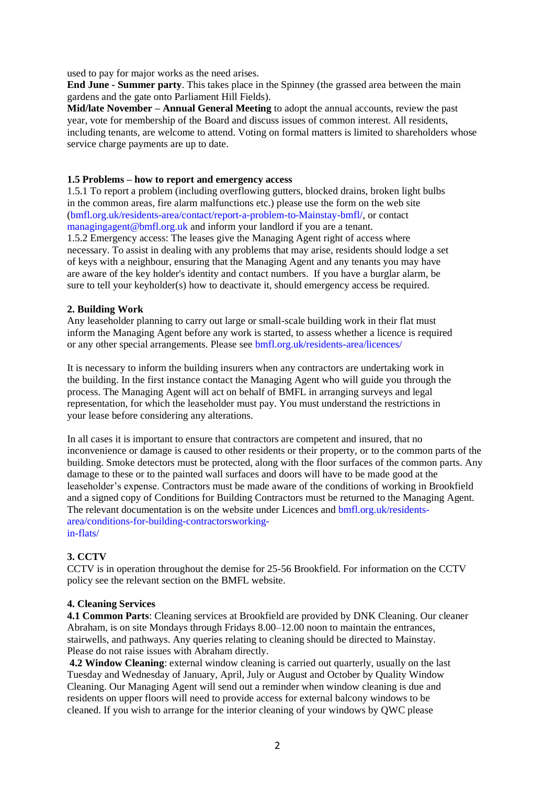used to pay for major works as the need arises.

**End June - Summer party**. This takes place in the Spinney (the grassed area between the main gardens and the gate onto Parliament Hill Fields).

**Mid/late November – Annual General Meeting** to adopt the annual accounts, review the past year, vote for membership of the Board and discuss issues of common interest. All residents, including tenants, are welcome to attend. Voting on formal matters is limited to shareholders whose service charge payments are up to date.

#### **1.5 Problems – how to report and emergency access**

1.5.1 To report a problem (including overflowing gutters, blocked drains, broken light bulbs in the common areas, fire alarm malfunctions etc.) please use the form on the web site (bmfl.org.uk/residents-area/contact/report-a-problem-to-Mainstay-bmfl/, or contact managingagent@bmfl.org.uk and inform your landlord if you are a tenant.

1.5.2 Emergency access: The leases give the Managing Agent right of access where necessary. To assist in dealing with any problems that may arise, residents should lodge a set of keys with a neighbour, ensuring that the Managing Agent and any tenants you may have are aware of the key holder's identity and contact numbers. If you have a burglar alarm, be sure to tell your keyholder(s) how to deactivate it, should emergency access be required.

#### **2. Building Work**

Any leaseholder planning to carry out large or small-scale building work in their flat must inform the Managing Agent before any work is started, to assess whether a licence is required or any other special arrangements. Please see bmfl.org.uk/residents-area/licences/

It is necessary to inform the building insurers when any contractors are undertaking work in the building. In the first instance contact the Managing Agent who will guide you through the process. The Managing Agent will act on behalf of BMFL in arranging surveys and legal representation, for which the leaseholder must pay. You must understand the restrictions in your lease before considering any alterations.

In all cases it is important to ensure that contractors are competent and insured, that no inconvenience or damage is caused to other residents or their property, or to the common parts of the building. Smoke detectors must be protected, along with the floor surfaces of the common parts. Any damage to these or to the painted wall surfaces and doors will have to be made good at the leaseholder's expense. Contractors must be made aware of the conditions of working in Brookfield and a signed copy of Conditions for Building Contractors must be returned to the Managing Agent. The relevant documentation is on the website under Licences and bmfl.org.uk/residentsarea/conditions-for-building-contractorsworkingin-flats/

#### **3. CCTV**

CCTV is in operation throughout the demise for 25-56 Brookfield. For information on the CCTV policy see the relevant section on the BMFL website.

#### **4. Cleaning Services**

**4.1 Common Parts**: Cleaning services at Brookfield are provided by DNK Cleaning. Our cleaner Abraham, is on site Mondays through Fridays 8.00–12.00 noon to maintain the entrances, stairwells, and pathways. Any queries relating to cleaning should be directed to Mainstay. Please do not raise issues with Abraham directly.

**4.2 Window Cleaning**: external window cleaning is carried out quarterly, usually on the last Tuesday and Wednesday of January, April, July or August and October by Quality Window Cleaning. Our Managing Agent will send out a reminder when window cleaning is due and residents on upper floors will need to provide access for external balcony windows to be cleaned. If you wish to arrange for the interior cleaning of your windows by QWC please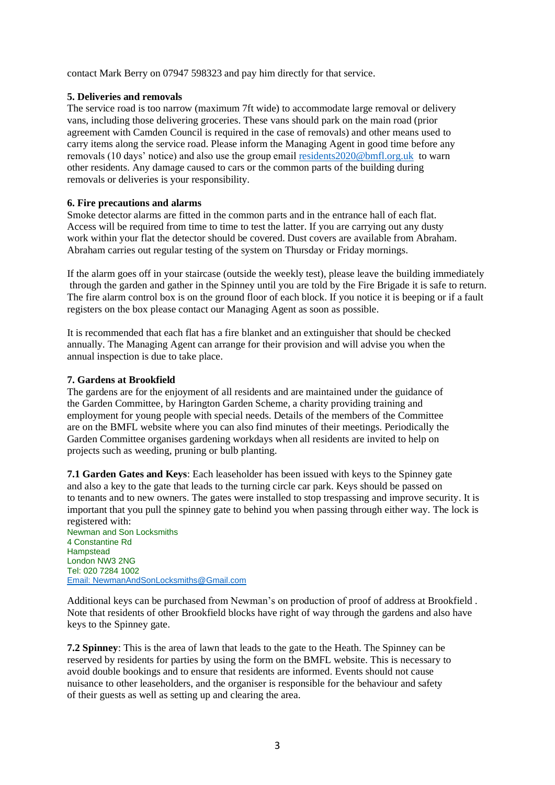contact Mark Berry on 07947 598323 and pay him directly for that service.

# **5. Deliveries and removals**

The service road is too narrow (maximum 7ft wide) to accommodate large removal or delivery vans, including those delivering groceries. These vans should park on the main road (prior agreement with Camden Council is required in the case of removals) and other means used to carry items along the service road. Please inform the Managing Agent in good time before any removals (10 days' notice) and also use the group email [residents2020@bmfl.org.uk](mailto:residents2020@bmfl.org.uk) to warn other residents. Any damage caused to cars or the common parts of the building during removals or deliveries is your responsibility.

# **6. Fire precautions and alarms**

Smoke detector alarms are fitted in the common parts and in the entrance hall of each flat. Access will be required from time to time to test the latter. If you are carrying out any dusty work within your flat the detector should be covered. Dust covers are available from Abraham. Abraham carries out regular testing of the system on Thursday or Friday mornings.

If the alarm goes off in your staircase (outside the weekly test), please leave the building immediately through the garden and gather in the Spinney until you are told by the Fire Brigade it is safe to return. The fire alarm control box is on the ground floor of each block. If you notice it is beeping or if a fault registers on the box please contact our Managing Agent as soon as possible.

It is recommended that each flat has a fire blanket and an extinguisher that should be checked annually. The Managing Agent can arrange for their provision and will advise you when the annual inspection is due to take place.

# **7. Gardens at Brookfield**

The gardens are for the enjoyment of all residents and are maintained under the guidance of the Garden Committee, by Harington Garden Scheme, a charity providing training and employment for young people with special needs. Details of the members of the Committee are on the BMFL website where you can also find minutes of their meetings. Periodically the Garden Committee organises gardening workdays when all residents are invited to help on projects such as weeding, pruning or bulb planting.

**7.1 Garden Gates and Keys**: Each leaseholder has been issued with keys to the Spinney gate and also a key to the gate that leads to the turning circle car park. Keys should be passed on to tenants and to new owners. The gates were installed to stop trespassing and improve security. It is important that you pull the spinney gate to behind you when passing through either way. The lock is registered with: Newman and Son Locksmiths

4 Constantine Rd Hampstead London NW3 2NG Tel: 020 7284 1002 [Email: NewmanAndSonLocksmiths@Gmail.com](mailto:NewmanAndSonLocksmiths@Gmail.com)

Additional keys can be purchased from Newman's on production of proof of address at Brookfield . Note that residents of other Brookfield blocks have right of way through the gardens and also have keys to the Spinney gate.

**7.2 Spinney**: This is the area of lawn that leads to the gate to the Heath. The Spinney can be reserved by residents for parties by using the form on the BMFL website. This is necessary to avoid double bookings and to ensure that residents are informed. Events should not cause nuisance to other leaseholders, and the organiser is responsible for the behaviour and safety of their guests as well as setting up and clearing the area.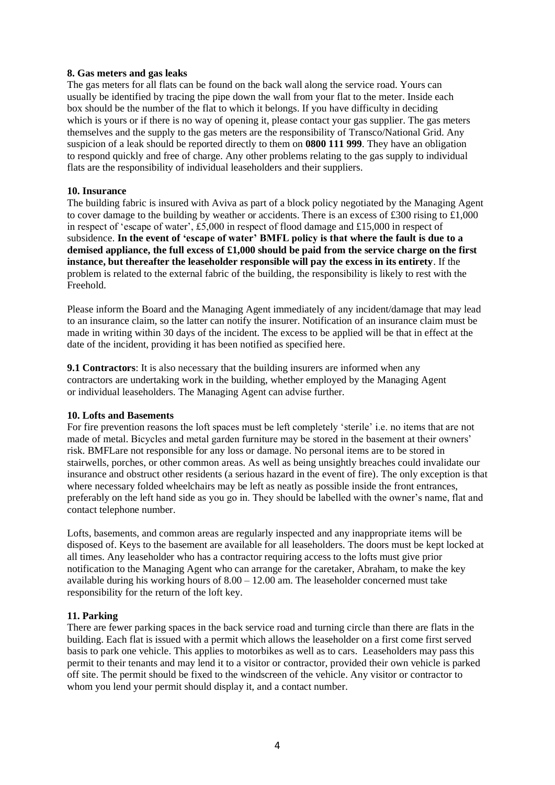#### **8. Gas meters and gas leaks**

The gas meters for all flats can be found on the back wall along the service road. Yours can usually be identified by tracing the pipe down the wall from your flat to the meter. Inside each box should be the number of the flat to which it belongs. If you have difficulty in deciding which is yours or if there is no way of opening it, please contact your gas supplier. The gas meters themselves and the supply to the gas meters are the responsibility of Transco/National Grid. Any suspicion of a leak should be reported directly to them on **0800 111 999**. They have an obligation to respond quickly and free of charge. Any other problems relating to the gas supply to individual flats are the responsibility of individual leaseholders and their suppliers.

#### **10. Insurance**

The building fabric is insured with Aviva as part of a block policy negotiated by the Managing Agent to cover damage to the building by weather or accidents. There is an excess of £300 rising to £1,000 in respect of 'escape of water', £5,000 in respect of flood damage and £15,000 in respect of subsidence. **In the event of 'escape of water' BMFL policy is that where the fault is due to a demised appliance, the full excess of £1,000 should be paid from the service charge on the first instance, but thereafter the leaseholder responsible will pay the excess in its entirety**. If the problem is related to the external fabric of the building, the responsibility is likely to rest with the Freehold.

Please inform the Board and the Managing Agent immediately of any incident/damage that may lead to an insurance claim, so the latter can notify the insurer. Notification of an insurance claim must be made in writing within 30 days of the incident. The excess to be applied will be that in effect at the date of the incident, providing it has been notified as specified here.

**9.1 Contractors**: It is also necessary that the building insurers are informed when any contractors are undertaking work in the building, whether employed by the Managing Agent or individual leaseholders. The Managing Agent can advise further.

#### **10. Lofts and Basements**

For fire prevention reasons the loft spaces must be left completely 'sterile' i.e. no items that are not made of metal. Bicycles and metal garden furniture may be stored in the basement at their owners' risk. BMFLare not responsible for any loss or damage. No personal items are to be stored in stairwells, porches, or other common areas. As well as being unsightly breaches could invalidate our insurance and obstruct other residents (a serious hazard in the event of fire). The only exception is that where necessary folded wheelchairs may be left as neatly as possible inside the front entrances, preferably on the left hand side as you go in. They should be labelled with the owner's name, flat and contact telephone number.

Lofts, basements, and common areas are regularly inspected and any inappropriate items will be disposed of. Keys to the basement are available for all leaseholders. The doors must be kept locked at all times. Any leaseholder who has a contractor requiring access to the lofts must give prior notification to the Managing Agent who can arrange for the caretaker, Abraham, to make the key available during his working hours of  $8.00 - 12.00$  am. The leaseholder concerned must take responsibility for the return of the loft key.

#### **11. Parking**

There are fewer parking spaces in the back service road and turning circle than there are flats in the building. Each flat is issued with a permit which allows the leaseholder on a first come first served basis to park one vehicle. This applies to motorbikes as well as to cars. Leaseholders may pass this permit to their tenants and may lend it to a visitor or contractor, provided their own vehicle is parked off site. The permit should be fixed to the windscreen of the vehicle. Any visitor or contractor to whom you lend your permit should display it, and a contact number.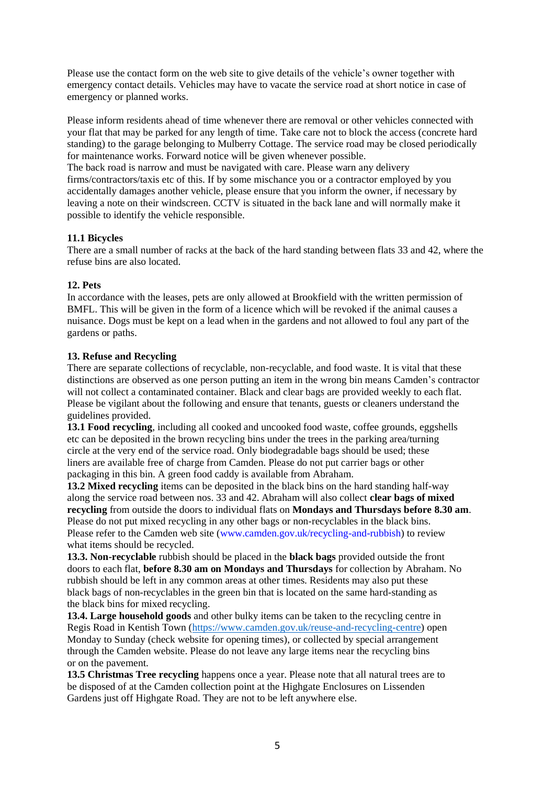Please use the contact form on the web site to give details of the vehicle's owner together with emergency contact details. Vehicles may have to vacate the service road at short notice in case of emergency or planned works.

Please inform residents ahead of time whenever there are removal or other vehicles connected with your flat that may be parked for any length of time. Take care not to block the access (concrete hard standing) to the garage belonging to Mulberry Cottage. The service road may be closed periodically for maintenance works. Forward notice will be given whenever possible.

The back road is narrow and must be navigated with care. Please warn any delivery firms/contractors/taxis etc of this. If by some mischance you or a contractor employed by you accidentally damages another vehicle, please ensure that you inform the owner, if necessary by leaving a note on their windscreen. CCTV is situated in the back lane and will normally make it possible to identify the vehicle responsible.

# **11.1 Bicycles**

There are a small number of racks at the back of the hard standing between flats 33 and 42, where the refuse bins are also located.

# **12. Pets**

In accordance with the leases, pets are only allowed at Brookfield with the written permission of BMFL. This will be given in the form of a licence which will be revoked if the animal causes a nuisance. Dogs must be kept on a lead when in the gardens and not allowed to foul any part of the gardens or paths.

# **13. Refuse and Recycling**

There are separate collections of recyclable, non-recyclable, and food waste. It is vital that these distinctions are observed as one person putting an item in the wrong bin means Camden's contractor will not collect a contaminated container. Black and clear bags are provided weekly to each flat. Please be vigilant about the following and ensure that tenants, guests or cleaners understand the guidelines provided.

**13.1 Food recycling**, including all cooked and uncooked food waste, coffee grounds, eggshells etc can be deposited in the brown recycling bins under the trees in the parking area/turning circle at the very end of the service road. Only biodegradable bags should be used; these liners are available free of charge from Camden. Please do not put carrier bags or other packaging in this bin. A green food caddy is available from Abraham.

**13.2 Mixed recycling** items can be deposited in the black bins on the hard standing half-way along the service road between nos. 33 and 42. Abraham will also collect **clear bags of mixed recycling** from outside the doors to individual flats on **Mondays and Thursdays before 8.30 am**. Please do not put mixed recycling in any other bags or non-recyclables in the black bins. Please refer to the Camden web site (www.camden.gov.uk/recycling-and-rubbish) to review what items should be recycled.

**13.3. Non-recyclable** rubbish should be placed in the **black bags** provided outside the front doors to each flat, **before 8.30 am on Mondays and Thursdays** for collection by Abraham. No rubbish should be left in any common areas at other times. Residents may also put these black bags of non-recyclables in the green bin that is located on the same hard-standing as the black bins for mixed recycling.

**13.4. Large household goods** and other bulky items can be taken to the recycling centre in Regis Road in Kentish Town [\(https://www.camden.gov.uk/reuse-and-recycling-centre\)](https://www.camden.gov.uk/reuse-and-recycling-centre) open Monday to Sunday (check website for opening times), or collected by special arrangement through the Camden website. Please do not leave any large items near the recycling bins or on the pavement.

**13.5 Christmas Tree recycling** happens once a year. Please note that all natural trees are to be disposed of at the Camden collection point at the Highgate Enclosures on Lissenden Gardens just off Highgate Road. They are not to be left anywhere else.